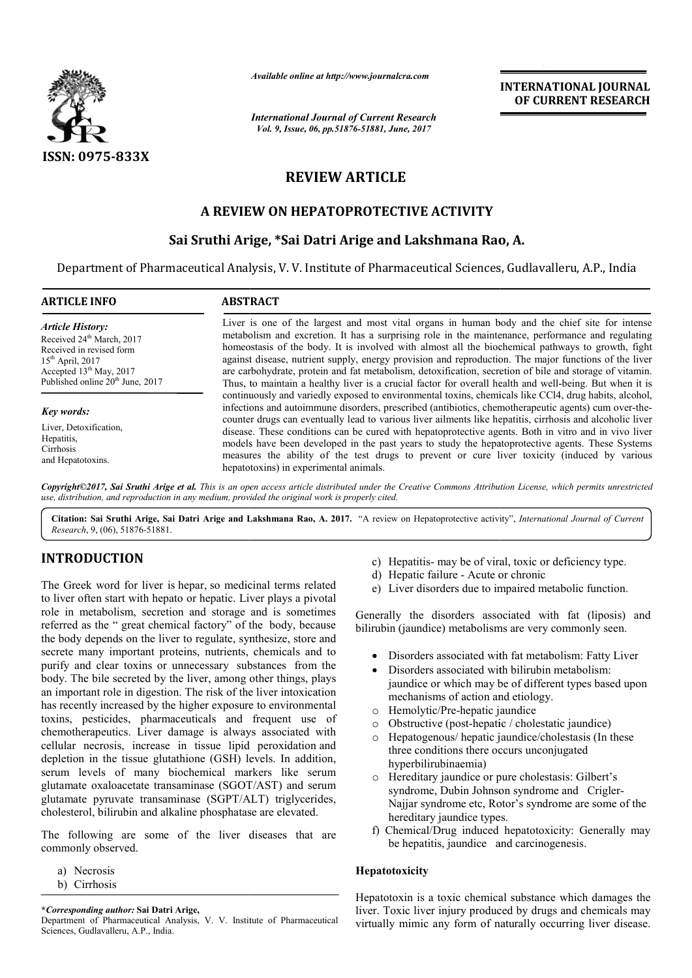

*Available online at http://www.journalcra.com*

# **REVIEW ARTICLE**

# **A REVIEW ON HEPATOPROTECTIVE ACTIVITY**

## **Sai Sruthi Arige, \*Sai Datri Arige and Lakshmana Rao Sai Rao, A.**

|                                                                                                                                                                                                                                                                                                                                                                                                                                                                                                                                                                                                                                                                                                                    | лтините опине игнир.//www.journatera.com                                                                                                                                                                                                                                                                                                                                                                                                                                                                                                                                                                                                                                                                                                         | <b>INTERNATIONAL JOURNAL</b><br>OF CURRENT RESEARCH                                                                                                                                                                                                                                                                                                                                                                                                                                                                                                                                                                                                                     |  |  |  |  |  |
|--------------------------------------------------------------------------------------------------------------------------------------------------------------------------------------------------------------------------------------------------------------------------------------------------------------------------------------------------------------------------------------------------------------------------------------------------------------------------------------------------------------------------------------------------------------------------------------------------------------------------------------------------------------------------------------------------------------------|--------------------------------------------------------------------------------------------------------------------------------------------------------------------------------------------------------------------------------------------------------------------------------------------------------------------------------------------------------------------------------------------------------------------------------------------------------------------------------------------------------------------------------------------------------------------------------------------------------------------------------------------------------------------------------------------------------------------------------------------------|-------------------------------------------------------------------------------------------------------------------------------------------------------------------------------------------------------------------------------------------------------------------------------------------------------------------------------------------------------------------------------------------------------------------------------------------------------------------------------------------------------------------------------------------------------------------------------------------------------------------------------------------------------------------------|--|--|--|--|--|
|                                                                                                                                                                                                                                                                                                                                                                                                                                                                                                                                                                                                                                                                                                                    | <b>International Journal of Current Research</b><br>Vol. 9, Issue, 06, pp.51876-51881, June, 2017                                                                                                                                                                                                                                                                                                                                                                                                                                                                                                                                                                                                                                                |                                                                                                                                                                                                                                                                                                                                                                                                                                                                                                                                                                                                                                                                         |  |  |  |  |  |
| ISSN: 0975-833X                                                                                                                                                                                                                                                                                                                                                                                                                                                                                                                                                                                                                                                                                                    |                                                                                                                                                                                                                                                                                                                                                                                                                                                                                                                                                                                                                                                                                                                                                  |                                                                                                                                                                                                                                                                                                                                                                                                                                                                                                                                                                                                                                                                         |  |  |  |  |  |
|                                                                                                                                                                                                                                                                                                                                                                                                                                                                                                                                                                                                                                                                                                                    | <b>REVIEW ARTICLE</b>                                                                                                                                                                                                                                                                                                                                                                                                                                                                                                                                                                                                                                                                                                                            |                                                                                                                                                                                                                                                                                                                                                                                                                                                                                                                                                                                                                                                                         |  |  |  |  |  |
| A REVIEW ON HEPATOPROTECTIVE ACTIVITY                                                                                                                                                                                                                                                                                                                                                                                                                                                                                                                                                                                                                                                                              |                                                                                                                                                                                                                                                                                                                                                                                                                                                                                                                                                                                                                                                                                                                                                  |                                                                                                                                                                                                                                                                                                                                                                                                                                                                                                                                                                                                                                                                         |  |  |  |  |  |
|                                                                                                                                                                                                                                                                                                                                                                                                                                                                                                                                                                                                                                                                                                                    |                                                                                                                                                                                                                                                                                                                                                                                                                                                                                                                                                                                                                                                                                                                                                  | Sai Sruthi Arige, *Sai Datri Arige and Lakshmana Rao, A.                                                                                                                                                                                                                                                                                                                                                                                                                                                                                                                                                                                                                |  |  |  |  |  |
| Department of Pharmaceutical Analysis, V. V. Institute of Pharmaceutical Sciences, Gudlavalleru, A.P., India                                                                                                                                                                                                                                                                                                                                                                                                                                                                                                                                                                                                       |                                                                                                                                                                                                                                                                                                                                                                                                                                                                                                                                                                                                                                                                                                                                                  |                                                                                                                                                                                                                                                                                                                                                                                                                                                                                                                                                                                                                                                                         |  |  |  |  |  |
| <b>ARTICLE INFO</b>                                                                                                                                                                                                                                                                                                                                                                                                                                                                                                                                                                                                                                                                                                | <b>ABSTRACT</b>                                                                                                                                                                                                                                                                                                                                                                                                                                                                                                                                                                                                                                                                                                                                  |                                                                                                                                                                                                                                                                                                                                                                                                                                                                                                                                                                                                                                                                         |  |  |  |  |  |
| <b>Article History:</b><br>Received 24 <sup>th</sup> March, 2017<br>Received in revised form<br>$15th$ April, 2017<br>Accepted 13 <sup>th</sup> May, 2017<br>Published online 20 <sup>th</sup> June, 2017                                                                                                                                                                                                                                                                                                                                                                                                                                                                                                          | Liver is one of the largest and most vital organs in human body and the chief site for intense<br>metabolism and excretion. It has a surprising role in the maintenance, performance and regulating<br>homeostasis of the body. It is involved with almost all the biochemical pathways to growth, fight<br>against disease, nutrient supply, energy provision and reproduction. The major functions of the liver<br>are carbohydrate, protein and fat metabolism, detoxification, secretion of bile and storage of vitamin.<br>Thus, to maintain a healthy liver is a crucial factor for overall health and well-being. But when it is<br>continuously and variedly exposed to environmental toxins, chemicals like CCl4, drug habits, alcohol, |                                                                                                                                                                                                                                                                                                                                                                                                                                                                                                                                                                                                                                                                         |  |  |  |  |  |
| Key words:                                                                                                                                                                                                                                                                                                                                                                                                                                                                                                                                                                                                                                                                                                         |                                                                                                                                                                                                                                                                                                                                                                                                                                                                                                                                                                                                                                                                                                                                                  | infections and autoimmune disorders, prescribed (antibiotics, chemotherapeutic agents) cum over-the-                                                                                                                                                                                                                                                                                                                                                                                                                                                                                                                                                                    |  |  |  |  |  |
| Liver, Detoxification,<br>Hepatitis,<br>Cirrhosis<br>and Hepatotoxins.                                                                                                                                                                                                                                                                                                                                                                                                                                                                                                                                                                                                                                             | counter drugs can eventually lead to various liver ailments like hepatitis, cirrhosis and alcoholic liver<br>disease. These conditions can be cured with hepatoprotective agents. Both in vitro and in vivo liver<br>models have been developed in the past years to study the hepatoprotective agents. These Systems<br>measures the ability of the test drugs to prevent or cure liver toxicity (induced by various<br>hepatotoxins) in experimental animals.                                                                                                                                                                                                                                                                                  |                                                                                                                                                                                                                                                                                                                                                                                                                                                                                                                                                                                                                                                                         |  |  |  |  |  |
| use, distribution, and reproduction in any medium, provided the original work is properly cited.                                                                                                                                                                                                                                                                                                                                                                                                                                                                                                                                                                                                                   |                                                                                                                                                                                                                                                                                                                                                                                                                                                                                                                                                                                                                                                                                                                                                  | Copyright©2017, Sai Sruthi Arige et al. This is an open access article distributed under the Creative Commons Attribution License, which permits unrestricted                                                                                                                                                                                                                                                                                                                                                                                                                                                                                                           |  |  |  |  |  |
| Research, 9, (06), 51876-51881.                                                                                                                                                                                                                                                                                                                                                                                                                                                                                                                                                                                                                                                                                    |                                                                                                                                                                                                                                                                                                                                                                                                                                                                                                                                                                                                                                                                                                                                                  | Citation: Sai Sruthi Arige, Sai Datri Arige and Lakshmana Rao, A. 2017. "A review on Hepatoprotective activity", International Journal of Current                                                                                                                                                                                                                                                                                                                                                                                                                                                                                                                       |  |  |  |  |  |
| <b>INTRODUCTION</b>                                                                                                                                                                                                                                                                                                                                                                                                                                                                                                                                                                                                                                                                                                |                                                                                                                                                                                                                                                                                                                                                                                                                                                                                                                                                                                                                                                                                                                                                  | c) Hepatitis- may be of viral, toxic or deficiency type.                                                                                                                                                                                                                                                                                                                                                                                                                                                                                                                                                                                                                |  |  |  |  |  |
| The Greek word for liver is hepar, so medicinal terms related                                                                                                                                                                                                                                                                                                                                                                                                                                                                                                                                                                                                                                                      |                                                                                                                                                                                                                                                                                                                                                                                                                                                                                                                                                                                                                                                                                                                                                  | d) Hepatic failure - Acute or chronic<br>e) Liver disorders due to impaired metabolic function.                                                                                                                                                                                                                                                                                                                                                                                                                                                                                                                                                                         |  |  |  |  |  |
| to liver often start with hepato or hepatic. Liver plays a pivotal<br>role in metabolism, secretion and storage and is sometimes<br>referred as the " great chemical factory" of the body, because<br>the body depends on the liver to regulate, synthesize, store and<br>secrete many important proteins, nutrients, chemicals and to<br>purify and clear toxins or unnecessary substances from the                                                                                                                                                                                                                                                                                                               |                                                                                                                                                                                                                                                                                                                                                                                                                                                                                                                                                                                                                                                                                                                                                  | Generally the disorders associated with fat (liposis) and<br>bilirubin (jaundice) metabolisms are very commonly seen.<br>Disorders associated with fat metabolism: Fatty Liver                                                                                                                                                                                                                                                                                                                                                                                                                                                                                          |  |  |  |  |  |
| body. The bile secreted by the liver, among other things, plays<br>an important role in digestion. The risk of the liver intoxication<br>has recently increased by the higher exposure to environmental<br>toxins, pesticides, pharmaceuticals and frequent use of<br>chemotherapeutics. Liver damage is always associated with<br>cellular necrosis, increase in tissue lipid peroxidation and<br>depletion in the tissue glutathione (GSH) levels. In addition,<br>serum levels of many biochemical markers like serum<br>glutamate oxaloacetate transaminase (SGOT/AST) and serum<br>glutamate pyruvate transaminase (SGPT/ALT) triglycerides,<br>cholesterol, bilirubin and alkaline phosphatase are elevated. |                                                                                                                                                                                                                                                                                                                                                                                                                                                                                                                                                                                                                                                                                                                                                  | Disorders associated with bilirubin metabolism:<br>jaundice or which may be of different types based upon<br>mechanisms of action and etiology.<br>Hemolytic/Pre-hepatic jaundice<br>$\circ$<br>Obstructive (post-hepatic / cholestatic jaundice)<br>$\circ$<br>Hepatogenous/hepatic jaundice/cholestasis (In these<br>$\circ$<br>three conditions there occurs unconjugated<br>hyperbilirubinaemia)<br>Hereditary jaundice or pure cholestasis: Gilbert's<br>$\circ$<br>syndrome, Dubin Johnson syndrome and Crigler-<br>Najjar syndrome etc, Rotor's syndrome are some of the<br>hereditary jaundice types.<br>f) Chemical/Drug induced hepatotoxicity: Generally may |  |  |  |  |  |
| The following are some of the liver diseases that are<br>commonly observed.                                                                                                                                                                                                                                                                                                                                                                                                                                                                                                                                                                                                                                        |                                                                                                                                                                                                                                                                                                                                                                                                                                                                                                                                                                                                                                                                                                                                                  | be hepatitis, jaundice and carcinogenesis.                                                                                                                                                                                                                                                                                                                                                                                                                                                                                                                                                                                                                              |  |  |  |  |  |
| a) Necrosis<br>b) Cirrhosis                                                                                                                                                                                                                                                                                                                                                                                                                                                                                                                                                                                                                                                                                        |                                                                                                                                                                                                                                                                                                                                                                                                                                                                                                                                                                                                                                                                                                                                                  | Hepatotoxicity                                                                                                                                                                                                                                                                                                                                                                                                                                                                                                                                                                                                                                                          |  |  |  |  |  |
| *Corresponding author: Sai Datri Arige,<br>Department of Pharmaceutical Analysis, V. V. Institute of Pharmaceutical                                                                                                                                                                                                                                                                                                                                                                                                                                                                                                                                                                                                |                                                                                                                                                                                                                                                                                                                                                                                                                                                                                                                                                                                                                                                                                                                                                  | Hepatotoxin is a toxic chemical substance which damages the<br>liver. Toxic liver injury produced by drugs and chemicals may<br>virtually mimic any form of naturally occurring liver disease.                                                                                                                                                                                                                                                                                                                                                                                                                                                                          |  |  |  |  |  |

# **INTRODUCTION**

- a) Necrosis
- b) Cirrhosis

Department of Pharmaceutical Analysis, V. V. Institute of Pharmaceutical Sciences, Gudlavalleru, A.P., India.

- c) Hepatitis- may be of viral, toxic or deficiency type.<br>d) Hepatic failure Acute or chronic
- d) Hepatic failure Acute or chronic
- e) Liver disorders due to impaired metabolic function.

- Disorders associated with fat metabolism: Fatty Liver
- Disorders associated with bilirubin metabolism: jaundice or which may be of different types based upon mechanisms of action and etiology. e) Liver disorders due to impaired metabolic function.<br>
ilirubin (jaundice) metabolisms are very commonly seen.<br>
• Disorders associated with fat metabolism: Fatty Liv<br>
• Disorders associated with bilirubin metabolism:<br>
jau
	- o Hemolytic/Pre-hepatic jaundice
	- o Obstructive (post-hepatic / cholestatic jaundice)
	- o Hepatogenous/ hepatic jaundice/cholestasis (In these three conditions there occurs unconjugated hyperbilirubinaemia)
	- o Hereditary jaundice or pure cholestasis syndrome, Dubin Johnson syndrome and Crigler-Najjar syndrome etc, Rotor's syndrome are some of the hereditary jaundice types.
	- f) Chemical/Drug induced hepatotoxicity: Generally may be hepatitis, jaundice and carcinogenesis. be hepatitis, jaundice and carcinogenesis.

## **Hepatotoxicity**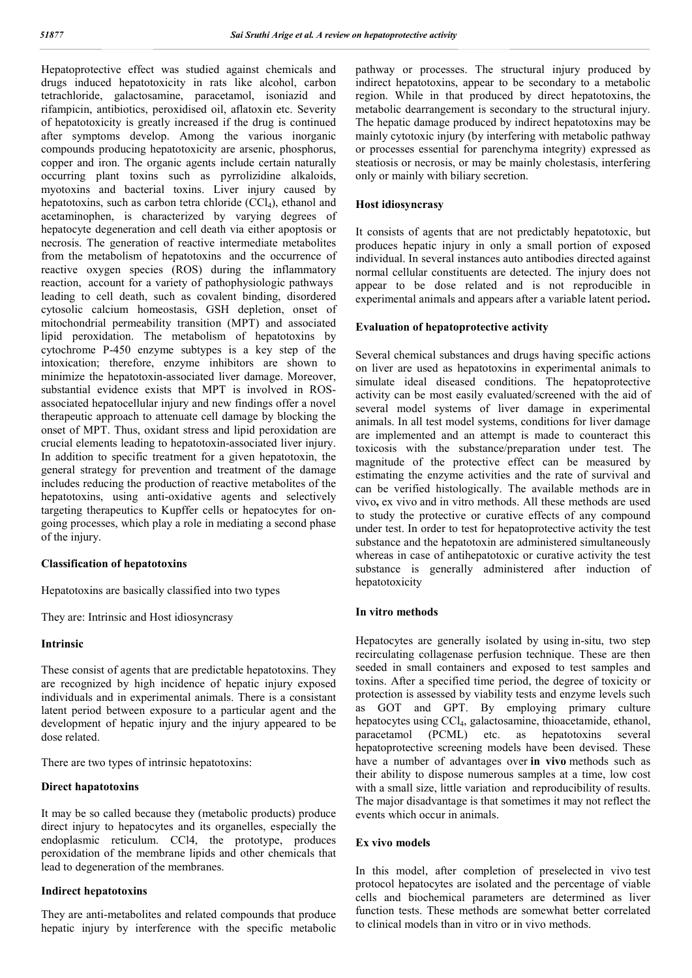Hepatoprotective effect was studied against chemicals and drugs induced hepatotoxicity in rats like alcohol, carbon tetrachloride, galactosamine, paracetamol, isoniazid and rifampicin, antibiotics, peroxidised oil, aflatoxin etc. Severity of hepatotoxicity is greatly increased if the drug is continued after symptoms develop. Among the various inorganic compounds producing hepatotoxicity are arsenic, phosphorus, copper and iron. The organic agents include certain naturally occurring plant toxins such as pyrrolizidine alkaloids, myotoxins and bacterial toxins. Liver injury caused by hepatotoxins, such as carbon tetra chloride (CCl<sub>4</sub>), ethanol and acetaminophen, is characterized by varying degrees of hepatocyte degeneration and cell death via either apoptosis or necrosis. The generation of reactive intermediate metabolites from the metabolism of hepatotoxins and the occurrence of reactive oxygen species (ROS) during the inflammatory reaction, account for a variety of pathophysiologic pathways leading to cell death, such as covalent binding, disordered cytosolic calcium homeostasis, GSH depletion, onset of mitochondrial permeability transition (MPT) and associated lipid peroxidation. The metabolism of hepatotoxins by cytochrome P-450 enzyme subtypes is a key step of the intoxication; therefore, enzyme inhibitors are shown to minimize the hepatotoxin-associated liver damage. Moreover, substantial evidence exists that MPT is involved in ROSassociated hepatocellular injury and new findings offer a novel therapeutic approach to attenuate cell damage by blocking the onset of MPT. Thus, oxidant stress and lipid peroxidation are crucial elements leading to hepatotoxin-associated liver injury. In addition to specific treatment for a given hepatotoxin, the general strategy for prevention and treatment of the damage includes reducing the production of reactive metabolites of the hepatotoxins, using anti-oxidative agents and selectively targeting therapeutics to Kupffer cells or hepatocytes for ongoing processes, which play a role in mediating a second phase of the injury.

## **Classification of hepatotoxins**

Hepatotoxins are basically classified into two types

They are: Intrinsic and Host idiosyncrasy

## **Intrinsic**

These consist of agents that are predictable hepatotoxins. They are recognized by high incidence of hepatic injury exposed individuals and in experimental animals. There is a consistant latent period between exposure to a particular agent and the development of hepatic injury and the injury appeared to be dose related.

There are two types of intrinsic hepatotoxins:

#### **Direct hapatotoxins**

It may be so called because they (metabolic products) produce direct injury to hepatocytes and its organelles, especially the endoplasmic reticulum. CCl4, the prototype, produces peroxidation of the membrane lipids and other chemicals that lead to degeneration of the membranes.

#### **Indirect hepatotoxins**

They are anti-metabolites and related compounds that produce hepatic injury by interference with the specific metabolic pathway or processes. The structural injury produced by indirect hepatotoxins, appear to be secondary to a metabolic region. While in that produced by direct hepatotoxins, the metabolic dearrangement is secondary to the structural injury. The hepatic damage produced by indirect hepatotoxins may be mainly cytotoxic injury (by interfering with metabolic pathway or processes essential for parenchyma integrity) expressed as steatiosis or necrosis, or may be mainly cholestasis, interfering only or mainly with biliary secretion.

#### **Host idiosyncrasy**

It consists of agents that are not predictably hepatotoxic, but produces hepatic injury in only a small portion of exposed individual. In several instances auto antibodies directed against normal cellular constituents are detected. The injury does not appear to be dose related and is not reproducible in experimental animals and appears after a variable latent period**.**

## **Evaluation of hepatoprotective activity**

Several chemical substances and drugs having specific actions on liver are used as hepatotoxins in experimental animals to simulate ideal diseased conditions. The hepatoprotective activity can be most easily evaluated/screened with the aid of several model systems of liver damage in experimental animals. In all test model systems, conditions for liver damage are implemented and an attempt is made to counteract this toxicosis with the substance/preparation under test. The magnitude of the protective effect can be measured by estimating the enzyme activities and the rate of survival and can be verified histologically. The available methods are in vivo**,** ex vivo and in vitro methods. All these methods are used to study the protective or curative effects of any compound under test. In order to test for hepatoprotective activity the test substance and the hepatotoxin are administered simultaneously whereas in case of antihepatotoxic or curative activity the test substance is generally administered after induction of hepatotoxicity

#### **In vitro methods**

Hepatocytes are generally isolated by using in-situ, two step recirculating collagenase perfusion technique. These are then seeded in small containers and exposed to test samples and toxins. After a specified time period, the degree of toxicity or protection is assessed by viability tests and enzyme levels such as GOT and GPT. By employing primary culture hepatocytes using CCl<sub>4</sub>, galactosamine, thioacetamide, ethanol, paracetamid (PCML) etc. as hepatotoxins several as hepatotoxins several hepatoprotective screening models have been devised. These have a number of advantages over **in vivo** methods such as their ability to dispose numerous samples at a time, low cost with a small size, little variation and reproducibility of results. The major disadvantage is that sometimes it may not reflect the events which occur in animals.

#### **Ex vivo models**

In this model, after completion of preselected in vivo test protocol hepatocytes are isolated and the percentage of viable cells and biochemical parameters are determined as liver function tests. These methods are somewhat better correlated to clinical models than in vitro or in vivo methods.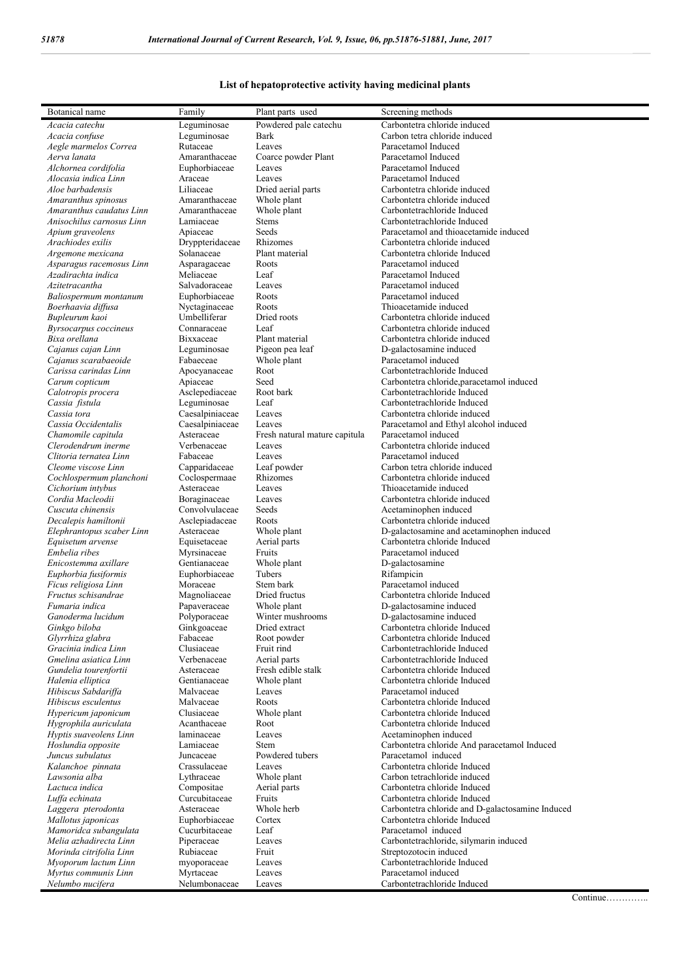## **List of hepatoprotective activity having medicinal plants**

| Botanical name                                  | Family                        | Plant parts used                        | Screening methods                                             |
|-------------------------------------------------|-------------------------------|-----------------------------------------|---------------------------------------------------------------|
| Acacia catechu                                  | Leguminosae                   | Powdered pale catechu                   | Carbontetra chloride induced                                  |
| Acacia confuse                                  | Leguminosae                   | Bark                                    | Carbon tetra chloride induced                                 |
| Aegle marmelos Correa                           | Rutaceae                      | Leaves                                  | Paracetamol Induced                                           |
| Aerva lanata                                    | Amaranthaceae                 | Coarce powder Plant                     | Paracetamol Induced                                           |
| Alchornea cordifolia                            | Euphorbiaceae                 | Leaves                                  | Paracetamol Induced                                           |
| Alocasia indica Linn                            | Araceae                       | Leaves                                  | Paracetamol Induced                                           |
| Aloe barbadensis<br>Amaranthus spinosus         | Liliaceae<br>Amaranthaceae    | Dried aerial parts<br>Whole plant       | Carbontetra chloride induced<br>Carbontetra chloride induced  |
| Amaranthus caudatus Linn                        | Amaranthaceae                 | Whole plant                             | Carbontetrachloride Induced                                   |
| Anisochilus carnosus Linn                       | Lamiaceae                     | <b>Stems</b>                            | Carbontetrachloride Induced                                   |
| Apium graveolens                                | Apiaceae                      | Seeds                                   | Paracetamol and thioacetamide induced                         |
| Arachiodes exilis                               | Dryppteridaceae               | Rhizomes                                | Carbontetra chloride induced                                  |
| Argemone mexicana                               | Solanaceae                    | Plant material                          | Carbontetra chloride Induced                                  |
| Asparagus racemosus Linn                        | Asparagaceae                  | Roots                                   | Paracetamol induced                                           |
| Azadirachta indica                              | Meliaceae                     | Leaf                                    | Paracetamol Induced                                           |
| Azitetracantha                                  | Salvadoraceae                 | Leaves                                  | Paracetamol induced                                           |
| Baliospermum montanum                           | Euphorbiaceae                 | Roots                                   | Paracetamol induced                                           |
| Boerhaavia diffusa<br>Bupleurum kaoi            | Nyctaginaceae<br>Umbelliferar | Roots<br>Dried roots                    | Thioacetamide induced<br>Carbontetra chloride induced         |
| Byrsocarpus coccineus                           | Connaraceae                   | Leaf                                    | Carbontetra chloride induced                                  |
| Bixa orellana                                   | Bixxaceae                     | Plant material                          | Carbontetra chloride induced                                  |
| Cajanus cajan Linn                              | Leguminosae                   | Pigeon pea leaf                         | D-galactosamine induced                                       |
| Cajanus scarabaeoide                            | Fabaeceae                     | Whole plant                             | Paracetamol induced                                           |
| Carissa carindas Linn                           | Apocyanaceae                  | Root                                    | Carbontetrachloride Induced                                   |
| Carum copticum                                  | Apiaceae                      | Seed                                    | Carbontetra chloride, paracetamol induced                     |
| Calotropis procera                              | Asclepediaceae                | Root bark                               | Carbontetrachloride Induced                                   |
| Cassia fistula                                  | Leguminosae                   | Leaf                                    | Carbontetrachloride Induced                                   |
| Cassia tora                                     | Caesalpiniaceae               | Leaves                                  | Carbontetra chloride induced                                  |
| Cassia Occidentalis                             | Caesalpiniaceae               | Leaves                                  | Paracetamol and Ethyl alcohol induced                         |
| Chamomile capitula<br>Clerodendrum inerme       | Asteraceae<br>Verbenaceae     | Fresh natural mature capitula<br>Leaves | Paracetamol induced<br>Carbontetra chloride induced           |
| Clitoria ternatea Linn                          | Fabaceae                      | Leaves                                  | Paracetamol induced                                           |
| Cleome viscose Linn                             | Capparidaceae                 | Leaf powder                             | Carbon tetra chloride induced                                 |
| Cochlospermum planchoni                         | Coclospermaae                 | Rhizomes                                | Carbontetra chloride induced                                  |
| Cichorium intybus                               | Asteraceae                    | Leaves                                  | Thioacetamide induced                                         |
| Cordia Macleodii                                | Boraginaceae                  | Leaves                                  | Carbontetra chloride induced                                  |
| Cuscuta chinensis                               | Convolvulaceae                | Seeds                                   | Acetaminophen induced                                         |
| Decalepis hamiltonii                            | Asclepiadaceae                | Roots                                   | Carbontetra chloride induced                                  |
| Elephrantopus scaber Linn                       | Asteraceae                    | Whole plant                             | D-galactosamine and acetaminophen induced                     |
| Equisetum arvense                               | Equisetaceae                  | Aerial parts                            | Carbontetra chloride Induced                                  |
| Embelia ribes                                   | Myrsinaceae                   | Fruits                                  | Paracetamol induced                                           |
| Enicostemma axillare<br>Euphorbia fusiformis    | Gentianaceae<br>Euphorbiaceae | Whole plant<br>Tubers                   | D-galactosamine<br>Rifampicin                                 |
| Ficus religiosa Linn                            | Moraceae                      | Stem bark                               | Paracetamol induced                                           |
| Fructus schisandrae                             | Magnoliaceae                  | Dried fructus                           | Carbontetra chloride Induced                                  |
| Fumaria indica                                  | Papaveraceae                  | Whole plant                             | D-galactosamine induced                                       |
| Ganoderma lucidum                               | Polyporaceae                  | Winter mushrooms                        | D-galactosamine induced                                       |
| Ginkgo biloba                                   | Ginkgoaceae                   | Dried extract                           | Carbontetra chloride Induced                                  |
| Glyrrhiza glabra                                | Fabaceae                      | Root powder                             | Carbontetra chloride Induced                                  |
| Gracinia indica Linn                            | Clusiaceae                    | Fruit rind                              | Carbontetrachloride Induced                                   |
| Gmelina asiatica Linn                           | Verbenaceae                   | Aerial parts                            | Carbontetrachloride Induced                                   |
| Gundelia tourenfortii                           | Asteraceae                    | Fresh edible stalk                      | Carbontetra chloride Induced                                  |
| Halenia elliptica                               | Gentianaceae                  | Whole plant                             | Carbontetra chloride Induced                                  |
| Hibiscus Sabdariffa                             | Malvaceae                     | Leaves                                  | Paracetamol induced                                           |
| Hibiscus esculentus<br>Hypericum japonicum      | Malvaceae<br>Clusiaceae       | Roots<br>Whole plant                    | Carbontetra chloride Induced<br>Carbontetra chloride Induced  |
| Hygrophila auriculata                           | Acanthaceae                   | Root                                    | Carbontetra chloride Induced                                  |
| Hyptis suaveolens Linn                          | laminaceae                    | Leaves                                  | Acetaminophen induced                                         |
| Hoslundia opposite                              | Lamiaceae                     | <b>Stem</b>                             | Carbontetra chloride And paracetamol Induced                  |
| Juncus subulatus                                | Juncaceae                     | Powdered tubers                         | Paracetamol induced                                           |
| Kalanchoe pinnata                               | Crassulaceae                  | Leaves                                  | Carbontetra chloride Induced                                  |
| Lawsonia alba                                   | Lythraceae                    | Whole plant                             | Carbon tetrachloride induced                                  |
| Lactuca indica                                  | Compositae                    | Aerial parts                            | Carbontetra chloride Induced                                  |
| Luffa echinata                                  | Curcubitaceae                 | Fruits                                  | Carbontetra chloride Induced                                  |
| Laggera pterodonta                              | Asteraceae                    | Whole herb                              | Carbontetra chloride and D-galactosamine Induced              |
| Mallotus japonicas                              | Euphorbiaceae                 | Cortex                                  | Carbontetra chloride Induced                                  |
| Mamoridca subangulata<br>Melia azhadirecta Linn | Cucurbitaceae<br>Piperaceae   | Leaf<br>Leaves                          | Paracetamol induced<br>Carbontetrachloride, silymarin induced |
| Morinda citrifolia Linn                         | Rubiaceae                     | Fruit                                   | Streptozotocin induced                                        |
| Myoporum lactum Linn                            | myoporaceae                   | Leaves                                  | Carbontetrachloride Induced                                   |
| Myrtus communis Linn                            | Myrtaceae                     | Leaves                                  | Paracetamol induced                                           |
| Nelumbo nucifera                                | Nelumbonaceae                 | Leaves                                  | Carbontetrachloride Induced                                   |

Continue…………..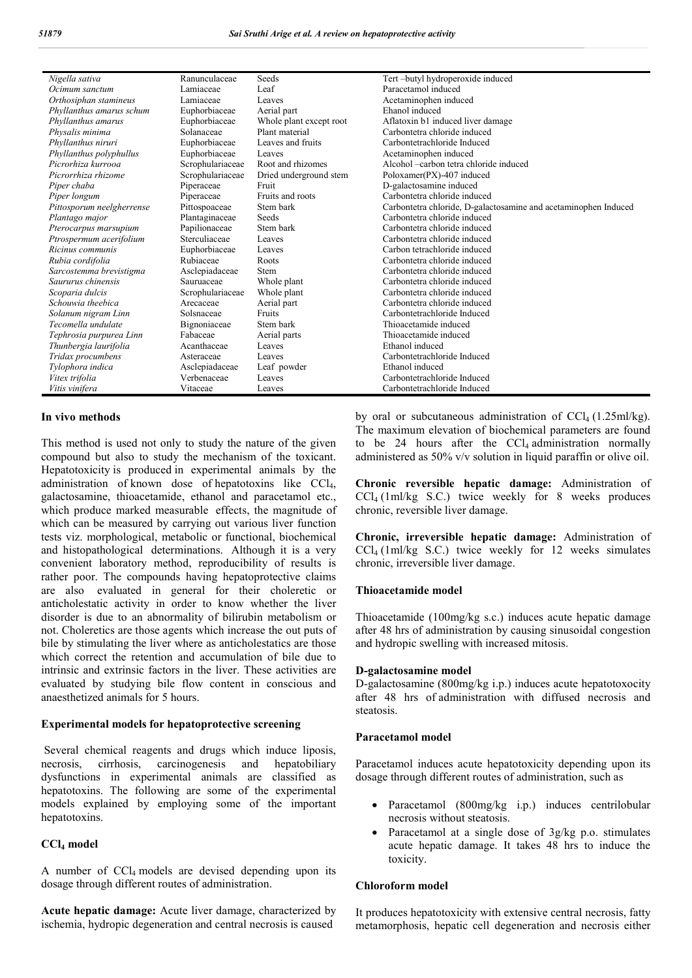| Nigella sativa            | Ranunculaceae    | Seeds                   | Tert-butyl hydroperoxide induced                                |
|---------------------------|------------------|-------------------------|-----------------------------------------------------------------|
| Ocimum sanctum            | Lamiaceae        | Leaf                    | Paracetamol induced                                             |
| Orthosiphan stamineus     | Lamiaceae        | Leaves                  | Acetaminophen induced                                           |
| Phyllanthus amarus schum  | Euphorbiaceae    | Aerial part             | Ehanol induced                                                  |
| Phyllanthus amarus        | Euphorbiaceae    | Whole plant except root | Aflatoxin b1 induced liver damage                               |
| Physalis minima           | Solanaceae       | Plant material          | Carbontetra chloride induced                                    |
| Phyllanthus niruri        | Euphorbiaceae    | Leaves and fruits       | Carbontetrachloride Induced                                     |
| Phyllanthus polyphullus   | Euphorbiaceae    | Leaves                  | Acetaminophen induced                                           |
| Picrorhiza kurrooa        | Scrophulariaceae | Root and rhizomes       | Alcohol – carbon tetra chloride induced                         |
| Picrorrhiza rhizome       | Scrophulariaceae | Dried underground stem  | Poloxamer(PX)-407 induced                                       |
| Piper chaba               | Piperaceae       | Fruit                   | D-galactosamine induced                                         |
| Piper longum              | Piperaceae       | Fruits and roots        | Carbontetra chloride induced                                    |
| Pittosporum neelgherrense | Pittospoaceae    | Stem bark               | Carbontetra chloride, D-galactosamine and acetaminophen Induced |
| Plantago major            | Plantaginaceae   | Seeds                   | Carbontetra chloride induced                                    |
| Pterocarpus marsupium     | Papilionaceae    | Stem bark               | Carbontetra chloride induced                                    |
| Ptrospermum acerifolium   | Sterculiaceae    | Leaves                  | Carbontetra chloride induced                                    |
| Ricinus communis          | Euphorbiaceae    | Leaves                  | Carbon tetrachloride induced                                    |
| Rubia cordifolia          | Rubiaceae        | Roots                   | Carbontetra chloride induced                                    |
| Sarcostemma brevistigma   | Asclepiadaceae   | <b>Stem</b>             | Carbontetra chloride induced                                    |
| Saururus chinensis        | Sauruaceae       | Whole plant             | Carbontetra chloride induced                                    |
| Scoparia dulcis           | Scrophulariaceae | Whole plant             | Carbontetra chloride induced                                    |
| Schouwia theebica         | Arecaceae        | Aerial part             | Carbontetra chloride induced                                    |
| Solanum nigram Linn       | Solsnaceae       | Fruits                  | Carbontetrachloride Induced                                     |
| Tecomella undulate        | Bignoniaceae     | Stem bark               | Thioacetamide induced                                           |
| Tephrosia purpurea Linn   | Fabaceae         | Aerial parts            | Thioacetamide induced                                           |
| Thunbergia laurifolia     | Acanthaceae      | Leaves                  | Ethanol induced                                                 |
| Tridax procumbens         | Asteraceae       | Leaves                  | Carbontetrachloride Induced                                     |
| Tylophora indica          | Asclepiadaceae   | Leaf powder             | Ethanol induced                                                 |
| Vitex trifolia            | Verbenaceae      | Leaves                  | Carbontetrachloride Induced                                     |
| Vitis vinifera            | Vitaceae         | Leaves                  | Carbontetrachloride Induced                                     |

#### **In vivo methods**

This method is used not only to study the nature of the given compound but also to study the mechanism of the toxicant. Hepatotoxicity is produced in experimental animals by the administration of known dose of hepatotoxins like CCl4, galactosamine, thioacetamide, ethanol and paracetamol etc., which produce marked measurable effects, the magnitude of which can be measured by carrying out various liver function tests viz. morphological, metabolic or functional, biochemical and histopathological determinations. Although it is a very convenient laboratory method, reproducibility of results is rather poor. The compounds having hepatoprotective claims are also evaluated in general for their choleretic or anticholestatic activity in order to know whether the liver disorder is due to an abnormality of bilirubin metabolism or not. Choleretics are those agents which increase the out puts of bile by stimulating the liver where as anticholestatics are those which correct the retention and accumulation of bile due to intrinsic and extrinsic factors in the liver. These activities are evaluated by studying bile flow content in conscious and anaesthetized animals for 5 hours.

## **Experimental models for hepatoprotective screening**

Several chemical reagents and drugs which induce liposis, necrosis, cirrhosis, carcinogenesis and hepatobiliary dysfunctions in experimental animals are classified as hepatotoxins. The following are some of the experimental models explained by employing some of the important hepatotoxins.

## **CCl4 model**

A number of  $CCl_4$  models are devised depending upon its dosage through different routes of administration.

**Acute hepatic damage:** Acute liver damage, characterized by ischemia, hydropic degeneration and central necrosis is caused

by oral or subcutaneous administration of  $\text{CCl}_4$  (1.25ml/kg). The maximum elevation of biochemical parameters are found to be 24 hours after the  $\text{CCl}_4$  administration normally administered as 50% v/v solution in liquid paraffin or olive oil.

**Chronic reversible hepatic damage:** Administration of  $CCl_4$  (1ml/kg S.C.) twice weekly for 8 weeks produces chronic, reversible liver damage.

**Chronic, irreversible hepatic damage:** Administration of  $CCl<sub>4</sub>$  (1ml/kg S.C.) twice weekly for 12 weeks simulates chronic, irreversible liver damage.

#### **Thioacetamide model**

Thioacetamide (100mg/kg s.c.) induces acute hepatic damage after 48 hrs of administration by causing sinusoidal congestion and hydropic swelling with increased mitosis.

#### **D-galactosamine model**

D-galactosamine (800mg/kg i.p.) induces acute hepatotoxocity after 48 hrs of administration with diffused necrosis and steatosis.

#### **Paracetamol model**

Paracetamol induces acute hepatotoxicity depending upon its dosage through different routes of administration, such as

- Paracetamol (800mg/kg i.p.) induces centrilobular necrosis without steatosis.
- Paracetamol at a single dose of 3g/kg p.o. stimulates acute hepatic damage. It takes 48 hrs to induce the toxicity.

#### **Chloroform model**

It produces hepatotoxicity with extensive central necrosis, fatty metamorphosis, hepatic cell degeneration and necrosis either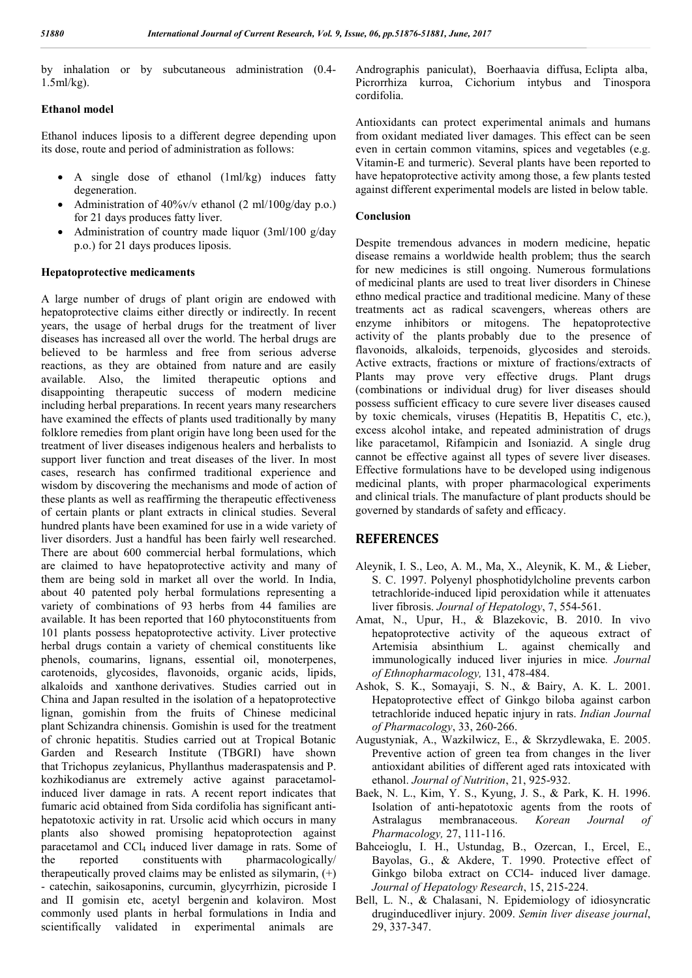by inhalation or by subcutaneous administration (0.4- 1.5ml/kg).

## **Ethanol model**

Ethanol induces liposis to a different degree depending upon its dose, route and period of administration as follows:

- A single dose of ethanol (1ml/kg) induces fatty degeneration.
- Administration of  $40\%$ v/v ethanol (2 ml/100g/day p.o.) for 21 days produces fatty liver.
- Administration of country made liquor (3ml/100 g/day p.o.) for 21 days produces liposis.

## **Hepatoprotective medicaments**

A large number of drugs of plant origin are endowed with hepatoprotective claims either directly or indirectly. In recent years, the usage of herbal drugs for the treatment of liver diseases has increased all over the world. The herbal drugs are believed to be harmless and free from serious adverse reactions, as they are obtained from nature and are easily available. Also, the limited therapeutic options and disappointing therapeutic success of modern medicine including herbal preparations. In recent years many researchers have examined the effects of plants used traditionally by many folklore remedies from plant origin have long been used for the treatment of liver diseases indigenous healers and herbalists to support liver function and treat diseases of the liver. In most cases, research has confirmed traditional experience and wisdom by discovering the mechanisms and mode of action of these plants as well as reaffirming the therapeutic effectiveness of certain plants or plant extracts in clinical studies. Several hundred plants have been examined for use in a wide variety of liver disorders. Just a handful has been fairly well researched. There are about 600 commercial herbal formulations, which are claimed to have hepatoprotective activity and many of them are being sold in market all over the world. In India, about 40 patented poly herbal formulations representing a variety of combinations of 93 herbs from 44 families are available. It has been reported that 160 phytoconstituents from 101 plants possess hepatoprotective activity. Liver protective herbal drugs contain a variety of chemical constituents like phenols, coumarins, lignans, essential oil, monoterpenes, carotenoids, glycosides, flavonoids, organic acids, lipids, alkaloids and xanthone derivatives. Studies carried out in China and Japan resulted in the isolation of a hepatoprotective lignan, gomishin from the fruits of Chinese medicinal plant Schizandra chinensis. Gomishin is used for the treatment of chronic hepatitis. Studies carried out at Tropical Botanic Garden and Research Institute (TBGRI) have shown that Trichopus zeylanicus, Phyllanthus maderaspatensis and P. kozhikodianus are extremely active against paracetamolinduced liver damage in rats. A recent report indicates that fumaric acid obtained from Sida cordifolia has significant antihepatotoxic activity in rat. Ursolic acid which occurs in many plants also showed promising hepatoprotection against paracetamol and CCl<sub>4</sub> induced liver damage in rats. Some of the reported constituents with pharmacologically/ therapeutically proved claims may be enlisted as silymarin,  $(+)$ - catechin, saikosaponins, curcumin, glycyrrhizin, picroside I and II gomisin etc, acetyl bergenin and kolaviron. Most commonly used plants in herbal formulations in India and scientifically validated in experimental animals are

Andrographis paniculat), Boerhaavia diffusa, Eclipta alba, Picrorrhiza kurroa, Cichorium intybus and Tinospora cordifolia.

Antioxidants can protect experimental animals and humans from oxidant mediated liver damages. This effect can be seen even in certain common vitamins, spices and vegetables (e.g. Vitamin-E and turmeric). Several plants have been reported to have hepatoprotective activity among those, a few plants tested against different experimental models are listed in below table.

## **Conclusion**

Despite tremendous advances in modern medicine, hepatic disease remains a worldwide health problem; thus the search for new medicines is still ongoing. Numerous formulations of medicinal plants are used to treat liver disorders in Chinese ethno medical practice and traditional medicine. Many of these treatments act as radical scavengers, whereas others are enzyme inhibitors or mitogens. The hepatoprotective activity of the plants probably due to the presence of flavonoids, alkaloids, terpenoids, glycosides and steroids. Active extracts, fractions or mixture of fractions/extracts of Plants may prove very effective drugs. Plant drugs (combinations or individual drug) for liver diseases should possess sufficient efficacy to cure severe liver diseases caused by toxic chemicals, viruses (Hepatitis B, Hepatitis C, etc.), excess alcohol intake, and repeated administration of drugs like paracetamol, Rifampicin and Isoniazid. A single drug cannot be effective against all types of severe liver diseases. Effective formulations have to be developed using indigenous medicinal plants, with proper pharmacological experiments and clinical trials. The manufacture of plant products should be governed by standards of safety and efficacy.

## **REFERENCES**

- Aleynik, I. S., Leo, A. M., Ma, X., Aleynik, K. M., & Lieber, S. C. 1997. Polyenyl phosphotidylcholine prevents carbon tetrachloride-induced lipid peroxidation while it attenuates liver fibrosis. *Journal of Hepatology*, 7, 554-561.
- Amat, N., Upur, H., & Blazekovic, B. 2010. In vivo hepatoprotective activity of the aqueous extract of Artemisia absinthium L. against chemically and immunologically induced liver injuries in mice*. Journal of Ethnopharmacology,* 131, 478-484.
- Ashok, S. K., Somayaji, S. N., & Bairy, A. K. L. 2001. Hepatoprotective effect of Ginkgo biloba against carbon tetrachloride induced hepatic injury in rats. *Indian Journal of Pharmacology*, 33, 260-266.
- Augustyniak, A., Wazkilwicz, E., & Skrzydlewaka, E. 2005. Preventive action of green tea from changes in the liver antioxidant abilities of different aged rats intoxicated with ethanol. *Journal of Nutrition*, 21, 925-932.
- Baek, N. L., Kim, Y. S., Kyung, J. S., & Park, K. H. 1996. Isolation of anti-hepatotoxic agents from the roots of Astralagus membranaceous. *Korean Journal of Pharmacology,* 27, 111-116.
- Bahceioglu, I. H., Ustundag, B., Ozercan, I., Ercel, E., Bayolas, G., & Akdere, T. 1990. Protective effect of Ginkgo biloba extract on CCl4- induced liver damage. *Journal of Hepatology Research*, 15, 215-224.
- Bell, L. N., & Chalasani, N. Epidemiology of idiosyncratic druginducedliver injury. 2009. *Semin liver disease journal*, 29, 337-347.